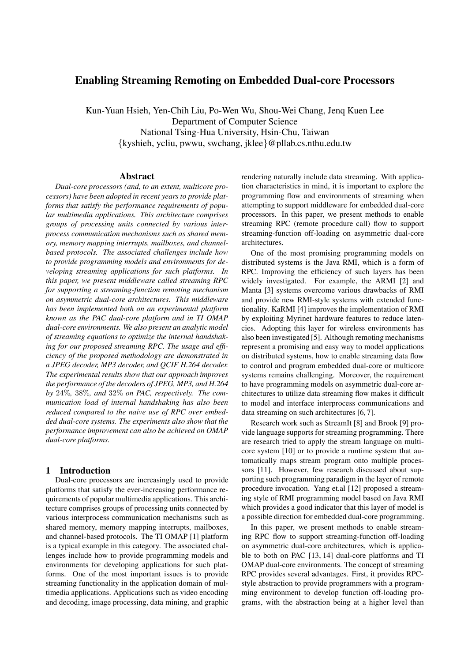# **Enabling Streaming Remoting on Embedded Dual-core Processors**

Kun-Yuan Hsieh, Yen-Chih Liu, Po-Wen Wu, Shou-Wei Chang, Jenq Kuen Lee Department of Computer Science National Tsing-Hua University, Hsin-Chu, Taiwan {kyshieh, ycliu, pwwu, swchang, jklee}@pllab.cs.nthu.edu.tw

### **Abstract**

*Dual-core processors (and, to an extent, multicore processors) have been adopted in recent years to provide platforms that satisfy the performance requirements of popular multimedia applications. This architecture comprises groups of processing units connected by various interprocess communication mechanisms such as shared memory, memory mapping interrupts, mailboxes, and channelbased protocols. The associated challenges include how to provide programming models and environments for developing streaming applications for such platforms. In this paper, we present middleware called streaming RPC for supporting a streaming-function remoting mechanism on asymmetric dual-core architectures. This middleware has been implemented both on an experimental platform known as the PAC dual-core platform and in TI OMAP dual-core environments. We also present an analytic model of streaming equations to optimize the internal handshaking for our proposed streaming RPC. The usage and efficiency of the proposed methodology are demonstrated in a JPEG decoder, MP3 decoder, and QCIF H.264 decoder. The experimental results show that our approach improves the performance of the decoders of JPEG, MP3, and H.264 by* 24%*,* 38%*, and* 32% *on PAC, respectively. The communication load of internal handshaking has also been reduced compared to the naive use of RPC over embedded dual-core systems. The experiments also show that the performance improvement can also be achieved on OMAP dual-core platforms.*

### **1 Introduction**

Dual-core processors are increasingly used to provide platforms that satisfy the ever-increasing performance requirements of popular multimedia applications. This architecture comprises groups of processing units connected by various interprocess communication mechanisms such as shared memory, memory mapping interrupts, mailboxes, and channel-based protocols. The TI OMAP [1] platform is a typical example in this category. The associated challenges include how to provide programming models and environments for developing applications for such platforms. One of the most important issues is to provide streaming functionality in the application domain of multimedia applications. Applications such as video encoding and decoding, image processing, data mining, and graphic rendering naturally include data streaming. With application characteristics in mind, it is important to explore the programming flow and environments of streaming when attempting to support middleware for embedded dual-core processors. In this paper, we present methods to enable streaming RPC (remote procedure call) flow to support streaming-function off-loading on asymmetric dual-core architectures.

One of the most promising programming models on distributed systems is the Java RMI, which is a form of RPC. Improving the efficiency of such layers has been widely investigated. For example, the ARMI [2] and Manta [3] systems overcome various drawbacks of RMI and provide new RMI-style systems with extended functionality. KaRMI [4] improves the implementation of RMI by exploiting Myrinet hardware features to reduce latencies. Adopting this layer for wireless environments has also been investigated [5]. Although remoting mechanisms represent a promising and easy way to model applications on distributed systems, how to enable streaming data flow to control and program embedded dual-core or multicore systems remains challenging. Moreover, the requirement to have programming models on asymmetric dual-core architectures to utilize data streaming flow makes it difficult to model and interface interprocess communications and data streaming on such architectures [6, 7].

Research work such as StreamIt [8] and Brook [9] provide language supports for streaming programming. There are research tried to apply the stream language on multicore system [10] or to provide a runtime system that automatically maps stream program onto multiple processors [11]. However, few research discussed about supporting such programming paradigm in the layer of remote procedure invocation. Yang et.al [12] proposed a streaming style of RMI programming model based on Java RMI which provides a good indicator that this layer of model is a possible direction for embedded dual-core programming.

In this paper, we present methods to enable streaming RPC flow to support streaming-function off-loading on asymmetric dual-core architectures, which is applicable to both on PAC [13, 14] dual-core platforms and TI OMAP dual-core environments. The concept of streaming RPC provides several advantages. First, it provides RPCstyle abstraction to provide programmers with a programming environment to develop function off-loading programs, with the abstraction being at a higher level than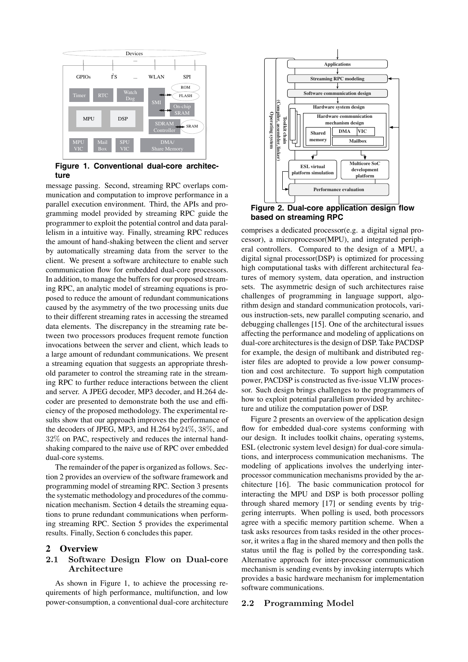

**Figure 1. Conventional dual-core architecture**

message passing. Second, streaming RPC overlaps communication and computation to improve performance in a parallel execution environment. Third, the APIs and programming model provided by streaming RPC guide the programmer to exploit the potential control and data parallelism in a intuitive way. Finally, streaming RPC reduces the amount of hand-shaking between the client and server by automatically streaming data from the server to the client. We present a software architecture to enable such communication flow for embedded dual-core processors. In addition, to manage the buffers for our proposed streaming RPC, an analytic model of streaming equations is proposed to reduce the amount of redundant communications caused by the asymmetry of the two processing units due to their different streaming rates in accessing the streamed data elements. The discrepancy in the streaming rate between two processors produces frequent remote function invocations between the server and client, which leads to a large amount of redundant communications. We present a streaming equation that suggests an appropriate threshold parameter to control the streaming rate in the streaming RPC to further reduce interactions between the client and server. A JPEG decoder, MP3 decoder, and H.264 decoder are presented to demonstrate both the use and efficiency of the proposed methodology. The experimental results show that our approach improves the performance of the decoders of JPEG, MP3, and H.264 by24%, 38%, and 32% on PAC, respectively and reduces the internal handshaking compared to the naive use of RPC over embedded dual-core systems.

The remainder of the paper is organized as follows. Section 2 provides an overview of the software framework and programming model of streaming RPC. Section 3 presents the systematic methodology and procedures of the communication mechanism. Section 4 details the streaming equations to prune redundant communications when performing streaming RPC. Section 5 provides the experimental results. Finally, Section 6 concludes this paper.

### **2 Overview**

### **2.1 Software Design Flow on Dual-core Architecture**

As shown in Figure 1, to achieve the processing requirements of high performance, multifunction, and low power-consumption, a conventional dual-core architecture



**Figure 2. Dual-core application design flow based on streaming RPC**

comprises a dedicated processor(e.g. a digital signal processor), a microprocessor(MPU), and integrated peripheral controllers. Compared to the design of a MPU, a digital signal processor(DSP) is optimized for processing high computational tasks with different architectural features of memory system, data operation, and instruction sets. The asymmetric design of such architectures raise challenges of programming in language support, algorithm design and standard communication protocols, various instruction-sets, new parallel computing scenario, and debugging challenges [15]. One of the architectural issues affecting the performance and modeling of applications on dual-core architectures is the design of DSP. Take PACDSP for example, the design of multibank and distributed register files are adopted to provide a low power consumption and cost architecture. To support high computation power, PACDSP is constructed as five-issue VLIW processor. Such design brings challenges to the programmers of how to exploit potential parallelism provided by architecture and utilize the computation power of DSP.

Figure 2 presents an overview of the application design flow for embedded dual-core systems conforming with our design. It includes toolkit chains, operating systems, ESL (electronic system level design) for dual-core simulations, and interprocess communication mechanisms. The modeling of applications involves the underlying interprocessor communication mechanisms provided by the architecture [16]. The basic communication protocol for interacting the MPU and DSP is both processor polling through shared memory [17] or sending events by triggering interrupts. When polling is used, both processors agree with a specific memory partition scheme. When a task asks resources from tasks resided in the other processor, it writes a flag in the shared memory and then polls the status until the flag is polled by the corresponding task. Alternative approach for inter-processor communication mechanism is sending events by invoking interrupts which provides a basic hardware mechanism for implementation software communications.

#### **2.2 Programming Model**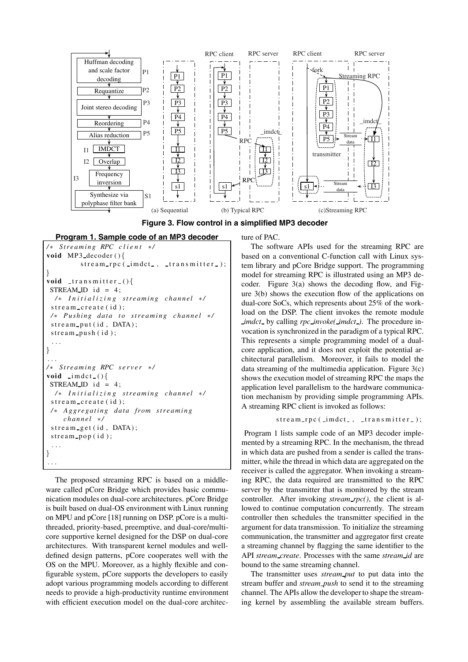

**Figure 3. Flow control in a simplified MP3 decoder**



```
/ ∗ St r e a mi n g RPC c l i e n t ∗/
void MP3 decoder () {
         stream rpc ( imdct, transmitter );
}
void _transmitter (){
STREAMID id = 4;
  / ∗ Initializing streaming c hannel ∗/
stream create (id );
/ ∗ Pushing data to streaming channel ∗/
stream_put(id, DATA);stream push (id);
 ...
}
...
/ ∗ St r e a mi n g RPC s e r v e r ∗/
\text{void } \text{im}\text{dct} (){
STREAMID id = 4;
  / ∗ Initializing streaming c hannel ∗/
stream_create(id);
/ ∗ Aggregating data from streaming
    channel ∗/
 stream\_get(id, DATA);stream pop ( id );
 ...
}
...
```
The proposed streaming RPC is based on a middleware called pCore Bridge which provides basic communication modules on dual-core architectures. pCore Bridge is built based on dual-OS environment with Linux running on MPU and pCore [18] running on DSP. pCore is a multithreaded, priority-based, preemptive, and dual-core/multicore supportive kernel designed for the DSP on dual-core architectures. With transparent kernel modules and welldefined design patterns, pCore cooperates well with the OS on the MPU. Moreover, as a highly flexible and configurable system, pCore supports the developers to easily adopt various programming models according to different needs to provide a high-productivity runtime environment with efficient execution model on the dual-core architecture of PAC.

The software APIs used for the streaming RPC are based on a conventional C-function call with Linux system library and pCore Bridge support. The programming model for streaming RPC is illustrated using an MP3 decoder. Figure 3(a) shows the decoding flow, and Figure 3(b) shows the execution flow of the applications on dual-core SoCs, which represents about 25% of the workload on the DSP. The client invokes the remote module *imdct* by calling *rpc invoke( imdct )*. The procedure invocation is synchronized in the paradigm of a typical RPC. This represents a simple programming model of a dualcore application, and it does not exploit the potential architectural parallelism. Moreover, it fails to model the data streaming of the multimedia application. Figure 3(c) shows the execution model of streaming RPC the maps the application level parallelism to the hardware communication mechanism by providing simple programming APIs. A streaming RPC client is invoked as follows:

stream\_rpc(\_imdct\_, \_transmitter\_);

Program 1 lists sample code of an MP3 decoder implemented by a streaming RPC. In the mechanism, the thread in which data are pushed from a sender is called the transmitter, while the thread in which data are aggregated on the receiver is called the aggregator. When invoking a streaming RPC, the data required are transmitted to the RPC server by the transmitter that is monitored by the stream controller. After invoking *stream rpc()*, the client is allowed to continue computation concurrently. The stream controller then schedules the transmitter specified in the argument for data transmission. To initialize the streaming communication, the transmitter and aggregator first create a streaming channel by flagging the same identifier to the API *stream create*. Processes with the same *stream id* are bound to the same streaming channel.

The transmitter uses *stream put* to put data into the stream buffer and *stream push* to send it to the streaming channel. The APIs allow the developer to shape the streaming kernel by assembling the available stream buffers.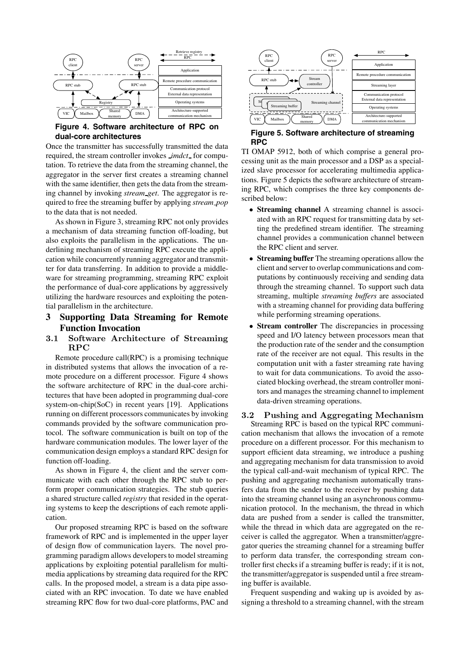

**Figure 4. Software architecture of RPC on dual-core architectures**

Once the transmitter has successfully transmitted the data required, the stream controller invokes *imdct* for computation. To retrieve the data from the streaming channel, the aggregator in the server first creates a streaming channel with the same identifier, then gets the data from the streaming channel by invoking *stream get*. The aggregator is required to free the streaming buffer by applying *stream pop* to the data that is not needed.

As shown in Figure 3, streaming RPC not only provides a mechanism of data streaming function off-loading, but also exploits the parallelism in the applications. The underlining mechanism of streaming RPC execute the application while concurrently running aggregator and transmitter for data transferring. In addition to provide a middleware for streaming programming, streaming RPC exploit the performance of dual-core applications by aggressively utilizing the hardware resources and exploiting the potential parallelism in the architecture.

# **3 Supporting Data Streaming for Remote Function Invocation**

## **3.1 Software Architecture of Streaming RPC**

Remote procedure call(RPC) is a promising technique in distributed systems that allows the invocation of a remote procedure on a different processor. Figure 4 shows the software architecture of RPC in the dual-core architectures that have been adopted in programming dual-core system-on-chip(SoC) in recent years [19]. Applications running on different processors communicates by invoking commands provided by the software communication protocol. The software communication is built on top of the hardware communication modules. The lower layer of the communication design employs a standard RPC design for function off-loading.

As shown in Figure 4, the client and the server communicate with each other through the RPC stub to perform proper communication strategies. The stub queries a shared structure called *registry* that resided in the operating systems to keep the descriptions of each remote application.

Our proposed streaming RPC is based on the software framework of RPC and is implemented in the upper layer of design flow of communication layers. The novel programming paradigm allows developers to model streaming applications by exploiting potential parallelism for multimedia applications by streaming data required for the RPC calls. In the proposed model, a stream is a data pipe associated with an RPC invocation. To date we have enabled streaming RPC flow for two dual-core platforms, PAC and



**Figure 5. Software architecture of streaming RPC**

TI OMAP 5912, both of which comprise a general processing unit as the main processor and a DSP as a specialized slave processor for accelerating multimedia applications. Figure 5 depicts the software architecture of streaming RPC, which comprises the three key components described below:

- **Streaming channel** A streaming channel is associated with an RPC request for transmitting data by setting the predefined stream identifier. The streaming channel provides a communication channel between the RPC client and server.
- **Streaming buffer** The streaming operations allow the client and server to overlap communications and computations by continuously receiving and sending data through the streaming channel. To support such data streaming, multiple *streaming buffers* are associated with a streaming channel for providing data buffering while performing streaming operations.
- **Stream controller** The discrepancies in processing speed and I/O latency between processors mean that the production rate of the sender and the consumption rate of the receiver are not equal. This results in the computation unit with a faster streaming rate having to wait for data communications. To avoid the associated blocking overhead, the stream controller monitors and manages the streaming channel to implement data-driven streaming operations.

### **3.2 Pushing and Aggregating Mechanism**

Streaming RPC is based on the typical RPC communication mechanism that allows the invocation of a remote procedure on a different processor. For this mechanism to support efficient data streaming, we introduce a pushing and aggregating mechanism for data transmission to avoid the typical call-and-wait mechanism of typical RPC. The pushing and aggregating mechanism automatically transfers data from the sender to the receiver by pushing data into the streaming channel using an asynchronous communication protocol. In the mechanism, the thread in which data are pushed from a sender is called the transmitter, while the thread in which data are aggregated on the receiver is called the aggregator. When a transmitter/aggregator queries the streaming channel for a streaming buffer to perform data transfer, the corresponding stream controller first checks if a streaming buffer is ready; if it is not, the transmitter/aggregator is suspended until a free streaming buffer is available.

Frequent suspending and waking up is avoided by assigning a threshold to a streaming channel, with the stream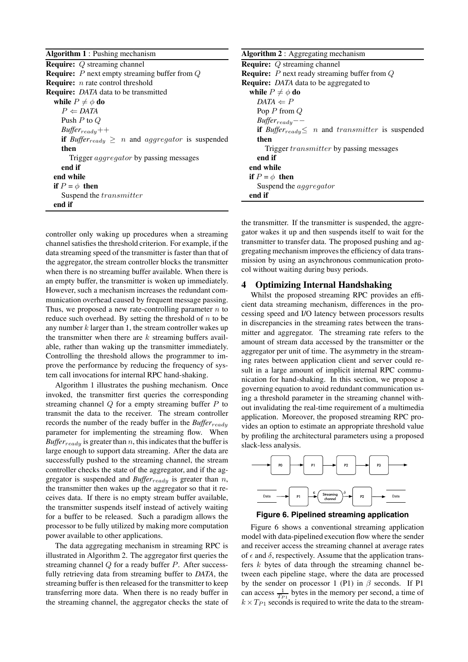| Algorithm $1:$ Pushing mechanism                                       |
|------------------------------------------------------------------------|
| <b>Require:</b> Q streaming channel                                    |
| <b>Require:</b> $P$ next empty streaming buffer from $Q$               |
| <b>Require:</b> $n$ rate control threshold                             |
| <b>Require:</b> DATA data to be transmitted                            |
| while $P \neq \phi$ do                                                 |
| $P \Leftarrow$ DATA                                                    |
| Push $P$ to $Q$                                                        |
| $Buffer_{ready}++$                                                     |
| <b>if</b> Buffer <sub>ready</sub> $\geq n$ and aggregator is suspended |
| then                                                                   |
| Trigger <i>aggregator</i> by passing messages                          |
| end if                                                                 |
| end while                                                              |
| if $P = \phi$ then                                                     |
| Suspend the <i>transmitter</i>                                         |
| end if                                                                 |
|                                                                        |

controller only waking up procedures when a streaming channel satisfies the threshold criterion. For example, if the data streaming speed of the transmitter is faster than that of the aggregator, the stream controller blocks the transmitter when there is no streaming buffer available. When there is an empty buffer, the transmitter is woken up immediately. However, such a mechanism increases the redundant communication overhead caused by frequent message passing. Thus, we proposed a new rate-controlling parameter  $n$  to reduce such overhead. By setting the threshold of  $n$  to be any number  $k$  larger than 1, the stream controller wakes up the transmitter when there are  $k$  streaming buffers available, rather than waking up the transmitter immediately. Controlling the threshold allows the programmer to improve the performance by reducing the frequency of system call invocations for internal RPC hand-shaking.

Algorithm 1 illustrates the pushing mechanism. Once invoked, the transmitter first queries the corresponding streaming channel  $Q$  for a empty streaming buffer  $P$  to transmit the data to the receiver. The stream controller records the number of the ready buffer in the  $Buffer_{readu}$ parameter for implementing the streaming flow. When  $Buffer_{ready}$  is greater than  $n$ , this indicates that the buffer is large enough to support data streaming. After the data are successfully pushed to the streaming channel, the stream controller checks the state of the aggregator, and if the aggregator is suspended and  $Buffer_{ready}$  is greater than  $n$ , the transmitter then wakes up the aggregator so that it receives data. If there is no empty stream buffer available, the transmitter suspends itself instead of actively waiting for a buffer to be released. Such a paradigm allows the processor to be fully utilized by making more computation power available to other applications.

The data aggregating mechanism in streaming RPC is illustrated in Algorithm 2. The aggregator first queries the streaming channel Q for a ready buffer P. After successfully retrieving data from streaming buffer to *DATA*, the streaming buffer is then released for the transmitter to keep transferring more data. When there is no ready buffer in the streaming channel, the aggregator checks the state of

| <b>Algorithm 2</b> : Aggregating mechanism                              |
|-------------------------------------------------------------------------|
| <b>Require:</b> Q streaming channel                                     |
| <b>Require:</b> P next ready streaming buffer from $Q$                  |
| <b>Require:</b> <i>DATA</i> data to be aggregated to                    |
| while $P \neq \phi$ do                                                  |
| $DATA \Leftarrow P$                                                     |
| Pop $P$ from $Q$                                                        |
| $Buffer_{readu}$ --                                                     |
| <b>if</b> Buffer <sub>ready</sub> $\leq n$ and transmitter is suspended |
| then                                                                    |
| Trigger <i>transmitter</i> by passing messages                          |
| end if                                                                  |
| end while                                                               |
| if $P = \phi$ then                                                      |
| Suspend the <i>aggregator</i>                                           |
| end if                                                                  |

the transmitter. If the transmitter is suspended, the aggregator wakes it up and then suspends itself to wait for the transmitter to transfer data. The proposed pushing and aggregating mechanism improves the efficiency of data transmission by using an asynchronous communication protocol without waiting during busy periods.

### **4 Optimizing Internal Handshaking**

Whilst the proposed streaming RPC provides an efficient data streaming mechanism, differences in the processing speed and I/O latency between processors results in discrepancies in the streaming rates between the transmitter and aggregator. The streaming rate refers to the amount of stream data accessed by the transmitter or the aggregator per unit of time. The asymmetry in the streaming rates between application client and server could result in a large amount of implicit internal RPC communication for hand-shaking. In this section, we propose a governing equation to avoid redundant communication using a threshold parameter in the streaming channel without invalidating the real-time requirement of a multimedia application. Moreover, the proposed streaming RPC provides an option to estimate an appropriate threshold value by profiling the architectural parameters using a proposed slack-less analysis.





Figure 6 shows a conventional streaming application model with data-pipelined execution flow where the sender and receiver access the streaming channel at average rates of  $\epsilon$  and  $\delta$ , respectively. Assume that the application transfers k bytes of data through the streaming channel between each pipeline stage, where the data are processed by the sender on processor 1 (P1) in  $\beta$  seconds. If P1 can access  $\frac{1}{T_{PI}}$  bytes in the memory per second, a time of  $k \times T_{P1}$  seconds is required to write the data to the stream-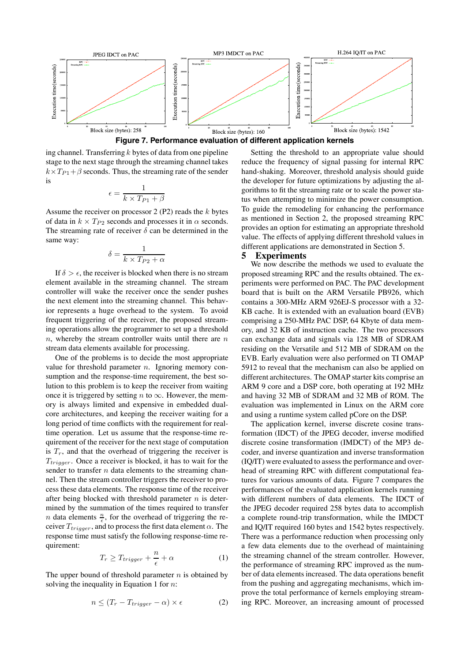

**Figure 7. Performance evaluation of different application kernels**

ing channel. Transferring  $k$  bytes of data from one pipeline stage to the next stage through the streaming channel takes  $k \times T_{P1} + \beta$  seconds. Thus, the streaming rate of the sender is

$$
\epsilon = \frac{1}{k \times T_{P1} + \beta}
$$

Assume the receiver on processor  $2(P2)$  reads the k bytes of data in  $k \times T_{P2}$  seconds and processes it in  $\alpha$  seconds. The streaming rate of receiver  $\delta$  can be determined in the same way:

$$
\delta = \frac{1}{k \times T_{P2} + \alpha}
$$

If  $\delta > \epsilon$ , the receiver is blocked when there is no stream element available in the streaming channel. The stream controller will wake the receiver once the sender pushes the next element into the streaming channel. This behavior represents a huge overhead to the system. To avoid frequent triggering of the receiver, the proposed streaming operations allow the programmer to set up a threshold  $n$ , whereby the stream controller waits until there are  $n$ stream data elements available for processing.

One of the problems is to decide the most appropriate value for threshold parameter  $n$ . Ignoring memory consumption and the response-time requirement, the best solution to this problem is to keep the receiver from waiting once it is triggered by setting n to  $\infty$ . However, the memory is always limited and expensive in embedded dualcore architectures, and keeping the receiver waiting for a long period of time conflicts with the requirement for realtime operation. Let us assume that the response-time requirement of the receiver for the next stage of computation is  $T_r$ , and that the overhead of triggering the receiver is  $T_{trigger}$ . Once a receiver is blocked, it has to wait for the sender to transfer  $n$  data elements to the streaming channel. Then the stream controller triggers the receiver to process these data elements. The response time of the receiver after being blocked with threshold parameter  $n$  is determined by the summation of the times required to transfer *n* data elements  $\frac{n}{\epsilon}$ , for the overhead of triggering the receiver  $T_{\epsilon}$  and to process the first data element  $\alpha$ . The ceiver  $T_{trigger}$ , and to process the first data element  $\alpha$ . The response time must satisfy the following response-time requirement:

$$
T_r \ge T_{trigger} + \frac{n}{\epsilon} + \alpha \tag{1}
$$

The upper bound of threshold parameter  $n$  is obtained by solving the inequality in Equation 1 for  $n$ :

$$
n \le (T_r - T_{trigger} - \alpha) \times \epsilon \tag{2}
$$

Setting the threshold to an appropriate value should reduce the frequency of signal passing for internal RPC hand-shaking. Moreover, threshold analysis should guide the developer for future optimizations by adjusting the algorithms to fit the streaming rate or to scale the power status when attempting to minimize the power consumption. To guide the remodeling for enhancing the performance as mentioned in Section 2, the proposed streaming RPC provides an option for estimating an appropriate threshold value. The effects of applying different threshold values in different applications are demonstrated in Section 5.

#### **5 Experiments**

We now describe the methods we used to evaluate the proposed streaming RPC and the results obtained. The experiments were performed on PAC. The PAC development board that is built on the ARM Versatile PB926, which contains a 300-MHz ARM 926EJ-S processor with a 32- KB cache. It is extended with an evaluation board (EVB) comprising a 250-MHz PAC DSP, 64 Kbyte of data memory, and 32 KB of instruction cache. The two processors can exchange data and signals via 128 MB of SDRAM residing on the Versatile and 512 MB of SDRAM on the EVB. Early evaluation were also performed on TI OMAP 5912 to reveal that the mechanism can also be applied on different architectures. The OMAP starter kits comprise an ARM 9 core and a DSP core, both operating at 192 MHz and having 32 MB of SDRAM and 32 MB of ROM. The evaluation was implemented in Linux on the ARM core and using a runtime system called pCore on the DSP.

The application kernel, inverse discrete cosine transformation (IDCT) of the JPEG decoder, inverse modified discrete cosine transformation (IMDCT) of the MP3 decoder, and inverse quantization and inverse transformation (IQ/IT) were evaluated to assess the performance and overhead of streaming RPC with different computational features for various amounts of data. Figure 7 compares the performances of the evaluated application kernels running with different numbers of data elements. The IDCT of the JPEG decoder required 258 bytes data to accomplish a complete round-trip transformation, while the IMDCT and IQ/IT required 160 bytes and 1542 bytes respectively. There was a performance reduction when processing only a few data elements due to the overhead of maintaining the streaming channel of the stream controller. However, the performance of streaming RPC improved as the number of data elements increased. The data operations benefit from the pushing and aggregating mechanisms, which improve the total performance of kernels employing streaming RPC. Moreover, an increasing amount of processed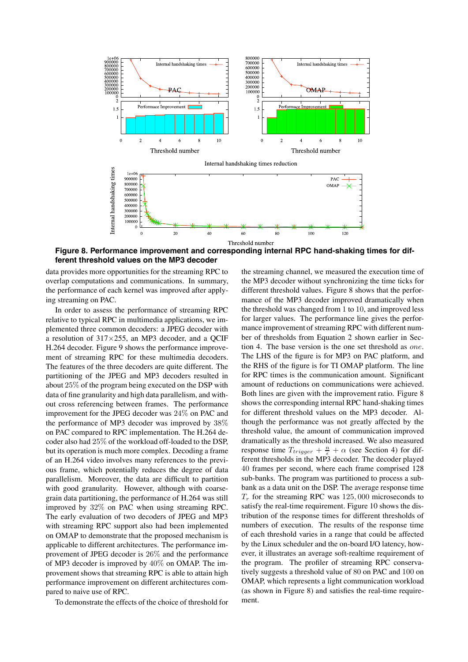

**Figure 8. Performance improvement and corresponding internal RPC hand-shaking times for different threshold values on the MP3 decoder**

data provides more opportunities for the streaming RPC to overlap computations and communications. In summary, the performance of each kernel was improved after applying streaming on PAC.

In order to assess the performance of streaming RPC relative to typical RPC in multimedia applications, we implemented three common decoders: a JPEG decoder with a resolution of 317×255, an MP3 decoder, and a QCIF H.264 decoder. Figure 9 shows the performance improvement of streaming RPC for these multimedia decoders. The features of the three decoders are quite different. The partitioning of the JPEG and MP3 decoders resulted in about 25% of the program being executed on the DSP with data of fine granularity and high data parallelism, and without cross referencing between frames. The performance improvement for the JPEG decoder was 24% on PAC and the performance of MP3 decoder was improved by 38% on PAC compared to RPC implementation. The H.264 decoder also had 25% of the workload off-loaded to the DSP, but its operation is much more complex. Decoding a frame of an H.264 video involves many references to the previous frame, which potentially reduces the degree of data parallelism. Moreover, the data are difficult to partition with good granularity. However, although with coarsegrain data partitioning, the performance of H.264 was still improved by 32% on PAC when using streaming RPC. The early evaluation of two decoders of JPEG and MP3 with streaming RPC support also had been implemented on OMAP to demonstrate that the proposed mechanism is applicable to different architectures. The performance improvement of JPEG decoder is 26% and the performance of MP3 decoder is improved by 40% on OMAP. The improvement shows that streaming RPC is able to attain high performance improvement on different architectures compared to naive use of RPC.

To demonstrate the effects of the choice of threshold for

the streaming channel, we measured the execution time of the MP3 decoder without synchronizing the time ticks for different threshold values. Figure 8 shows that the performance of the MP3 decoder improved dramatically when the threshold was changed from 1 to 10, and improved less for larger values. The performance line gives the performance improvement of streaming RPC with different number of thresholds from Equation 2 shown earlier in Section 4. The base version is the one set threshold as one. The LHS of the figure is for MP3 on PAC platform, and the RHS of the figure is for TI OMAP platform. The line for RPC times is the communication amount. Significant amount of reductions on communications were achieved. Both lines are given with the improvement ratio. Figure 8 shows the corresponding internal RPC hand-shaking times for different threshold values on the MP3 decoder. Although the performance was not greatly affected by the threshold value, the amount of communication improved dramatically as the threshold increased. We also measured response time  $T_{trigger} + \frac{n}{\epsilon} + \alpha$  (see Section 4) for dif-<br>ferent thresholds in the MP3 decoder. The decoder played ferent thresholds in the MP3 decoder. The decoder played 40 frames per second, where each frame comprised 128 sub-banks. The program was partitioned to process a subbank as a data unit on the DSP. The average response time  $T_r$  for the streaming RPC was 125,000 microseconds to satisfy the real-time requirement. Figure 10 shows the distribution of the response times for different thresholds of numbers of execution. The results of the response time of each threshold varies in a range that could be affected by the Linux scheduler and the on-board I/O latency, however, it illustrates an average soft-realtime requirement of the program. The profiler of streaming RPC conservatively suggests a threshold value of 80 on PAC and 100 on OMAP, which represents a light communication workload (as shown in Figure 8) and satisfies the real-time requirement.